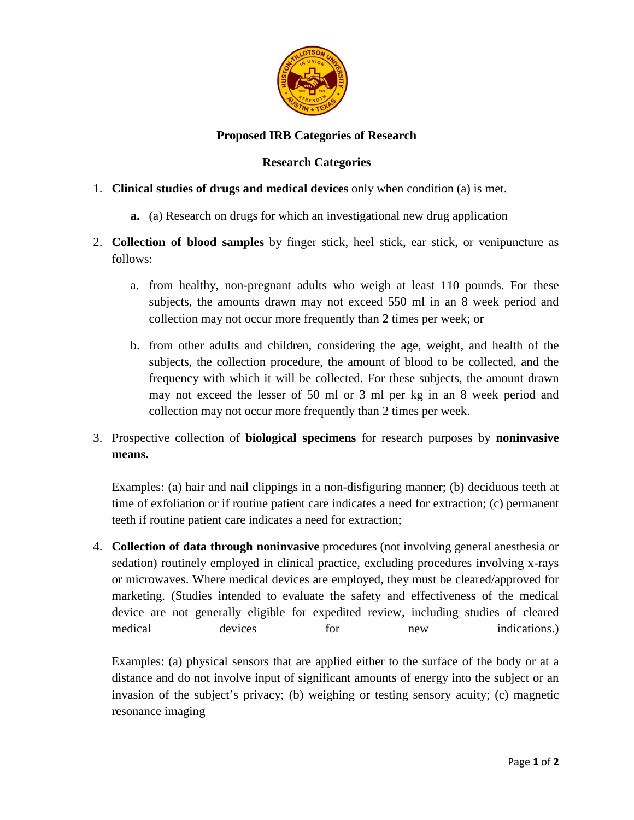

## **Proposed IRB Categories of Research**

## **Research Categories**

## 1. **Clinical studies of drugs and medical devices** only when condition (a) is met.

- **a.** (a) Research on drugs for which an investigational new drug application
- 2. **Collection of blood samples** by finger stick, heel stick, ear stick, or venipuncture as follows:
	- a. from healthy, non-pregnant adults who weigh at least 110 pounds. For these subjects, the amounts drawn may not exceed 550 ml in an 8 week period and collection may not occur more frequently than 2 times per week; or
	- b. from other adults and children, considering the age, weight, and health of the subjects, the collection procedure, the amount of blood to be collected, and the frequency with which it will be collected. For these subjects, the amount drawn may not exceed the lesser of 50 ml or 3 ml per kg in an 8 week period and collection may not occur more frequently than 2 times per week.
- 3. Prospective collection of **biological specimens** for research purposes by **noninvasive means.**

Examples: (a) hair and nail clippings in a non-disfiguring manner; (b) deciduous teeth at time of exfoliation or if routine patient care indicates a need for extraction; (c) permanent teeth if routine patient care indicates a need for extraction;

4. **Collection of data through noninvasive** procedures (not involving general anesthesia or sedation) routinely employed in clinical practice, excluding procedures involving x-rays or microwaves. Where medical devices are employed, they must be cleared/approved for marketing. (Studies intended to evaluate the safety and effectiveness of the medical device are not generally eligible for expedited review, including studies of cleared medical devices for new indications.

Examples: (a) physical sensors that are applied either to the surface of the body or at a distance and do not involve input of significant amounts of energy into the subject or an invasion of the subject's privacy; (b) weighing or testing sensory acuity; (c) magnetic resonance imaging